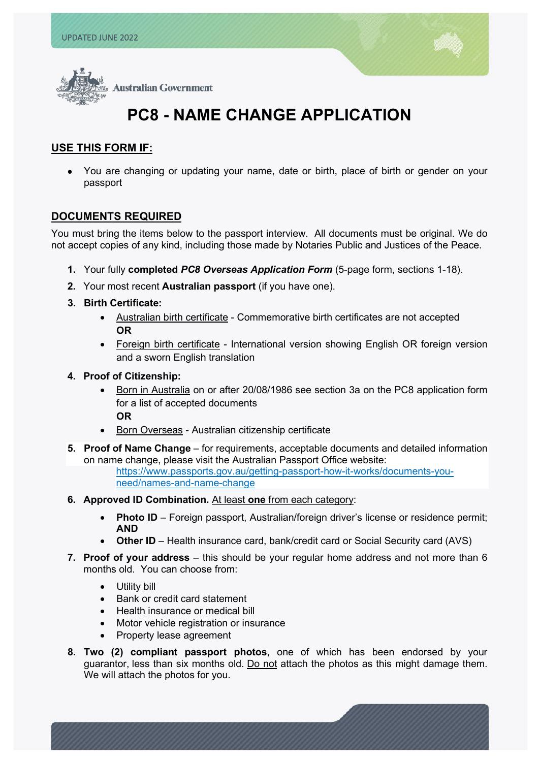l



# **PC8 - NAME CHANGE APPLICATION**

## **USE THIS FORM IF:**

• You are changing or updating your name, date or birth, place of birth or gender on your passport

## **DOCUMENTS REQUIRED**

You must bring the items below to the passport interview. All documents must be original. We do not accept copies of any kind, including those made by Notaries Public and Justices of the Peace.

- **1.** Your fully **completed** *PC8 Overseas Application Form* (5-page form, sections 1-18).
- **2.** Your most recent **Australian passport** (if you have one).
- **3. Birth Certificate:** 
	- Australian birth certificate Commemorative birth certificates are not accepted **OR**
	- Foreign birth certificate International version showing English OR foreign version and a sworn English translation
- **4. Proof of Citizenship:** 
	- Born in Australia on or after 20/08/1986 see section 3a on the PC8 application form for a list of accepted documents **OR**
	- **Born Overseas Australian citizenship certificate**
- **5. Proof of Name Change** for requirements, acceptable documents and detailed information on name change, please visit the Australian Passport Office website: [https://www.passports.gov.au/getting-passport-how-it-works/documents-you](https://www.passports.gov.au/getting-passport-how-it-works/documents-you-need/names-and-name-change)[need/names-and-name-change](https://www.passports.gov.au/getting-passport-how-it-works/documents-you-need/names-and-name-change)
- **6. [Approved ID Combination.](https://www.passports.gov.au/passportsexplained/theapplicationprocess/eligibilityoverview/Pages/confirmingidentity.aspx)** At least **one** from each category:
	- **Photo ID** Foreign passport, Australian/foreign driver's license or residence permit; **AND**
	- **Other ID** Health insurance card, bank/credit card or Social Security card (AVS)
- **7. Proof of your address** this should be your regular home address and not more than 6 months old. You can choose from:
	- Utility bill
	- Bank or credit card statement
	- Health insurance or medical bill
	- Motor vehicle registration or insurance
	- Property lease agreement
- **8. Two [\(2\) compliant passport photos](https://usa.embassy.gov.au/passport-photos)**, one of which has been endorsed by your guarantor, less than six months old. Do not attach the photos as this might damage them. We will attach the photos for you.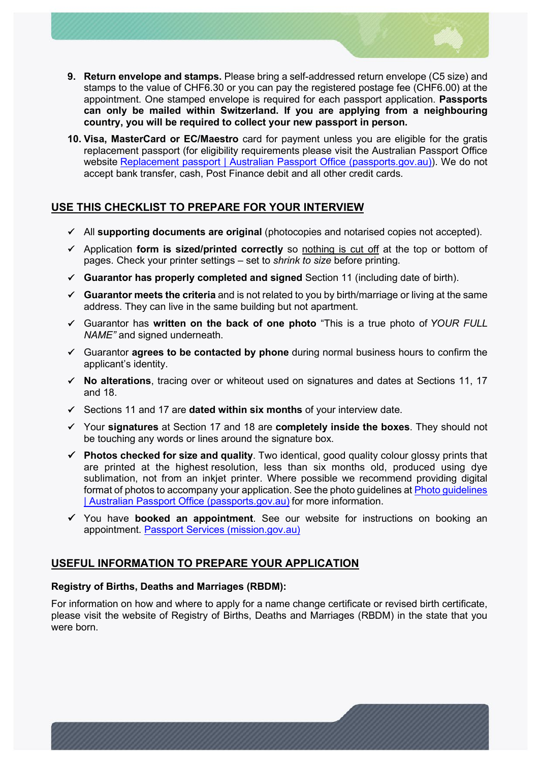

- **9. Return envelope and stamps.** Please bring a self-addressed return envelope (C5 size) and stamps to the value of CHF6.30 or you can pay the registered postage fee (CHF6.00) at the appointment. One stamped envelope is required for each passport application. **Passports can only be mailed within Switzerland. If you are applying from a neighbouring country, you will be required to collect your new passport in person.**
- **10. Visa, MasterCard or EC/Maestro** card for payment unless you are eligible for the gratis replacement passport (for eligibility requirements please visit the Australian Passport Office website [Replacement passport | Australian Passport Office \(passports.gov.au\)\)](https://www.passports.gov.au/getting-passport-how-it-works/special-travel-documents/replacement-passport). We do not accept bank transfer, cash, Post Finance debit and all other credit cards.

# **USE THIS CHECKLIST TO PREPARE FOR YOUR INTERVIEW**

- All **supporting documents are original** (photocopies and notarised copies not accepted).
- Application **form is sized/printed correctly** so nothing is cut off at the top or bottom of pages. Check your printer settings – set to *shrink to size* before printing.
- **Guarantor has properly completed and signed** Section 11 (including date of birth).
- **[Guarantor meets the criteria](https://usa.embassy.gov.au/guarantors)** and is not related to you by birth/marriage or living at the same address. They can live in the same building but not apartment.
- Guarantor has **written on the back of one photo** "This is a true photo of *YOUR FULL NAME"* and signed underneath.
- Guarantor **agrees to be contacted by phone** during normal business hours to confirm the applicant's identity.
- **No alterations**, tracing over or whiteout used on signatures and dates at Sections 11, 17 and 18.
- Sections 11 and 17 are **dated within six months** of your interview date.
- Your **signatures** at Section 17 and 18 are **completely inside the boxes**. They should not be touching any words or lines around the signature box.
- **Photos checked for size and quality**. Two identical, good quality colour glossy prints that are printed at the highest resolution, less than six months old, produced using dye sublimation, not from an inkjet printer. Where possible we recommend providing digital format of photos to accompany your application. See the photo guidelines at [Photo guidelines](https://www.passports.gov.au/getting-passport-how-it-works/photo-guidelines)  [| Australian Passport Office \(passports.gov.au\)](https://www.passports.gov.au/getting-passport-how-it-works/photo-guidelines) for more information.
- You have **booked an appointment**. See our website for instructions on booking an appointment. [Passport Services \(mission.gov.au\)](https://geneva.mission.gov.au/gene/cons_pass2.html)

# **USEFUL INFORMATION TO PREPARE YOUR APPLICATION**

## **Registry of Births, Deaths and Marriages (RBDM):**

For information on how and where to apply for a name change certificate or revised birth certificate, please visit the website of Registry of Births, Deaths and Marriages (RBDM) in the state that you were born.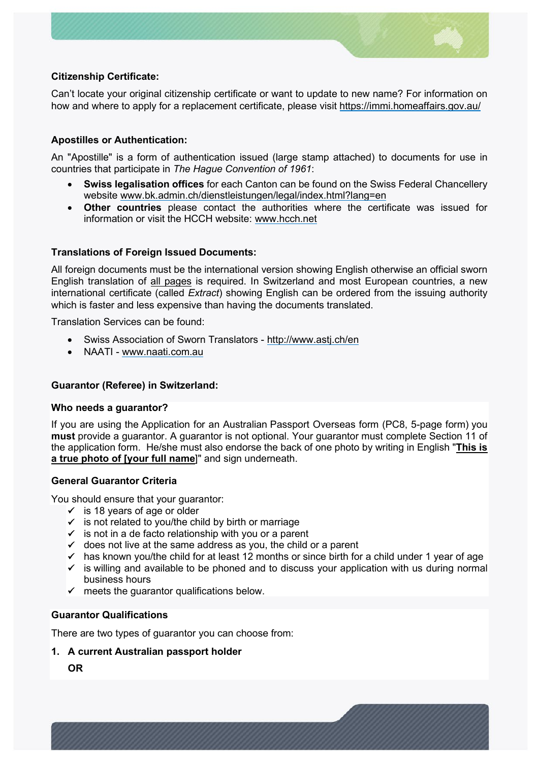

## **Citizenship Certificate:**

Can't locate your original citizenship certificate or want to update to new name? For information on how and where to apply for a replacement certificate, please visit<https://immi.homeaffairs.gov.au/>

## **Apostilles or Authentication:**

An "Apostille" is a form of authentication issued (large stamp attached) to documents for use in countries that participate in *The Hague Convention of 1961*:

- **Swiss legalisation offices** for each Canton can be found on the Swiss Federal Chancellery website [www.bk.admin.ch/dienstleistungen/legal/index.html?lang=en](http://www.bk.admin.ch/dienstleistungen/legal/index.html?lang=en)
- **Other countries** please contact the authorities where the certificate was issued for information or visit the HCCH website: [www.hcch.net](http://www.hcch.net/)

## **Translations of Foreign Issued Documents:**

All foreign documents must be the international version showing English otherwise an official sworn English translation of all pages is required. In Switzerland and most European countries, a new international certificate (called *Extract*) showing English can be ordered from the issuing authority which is faster and less expensive than having the documents translated.

Translation Services can be found:

- Swiss Association of Sworn Translators -<http://www.astj.ch/en>
- NAATI - [www.naati.com.au](http://www.naati.com.au/)

#### **Guarantor (Referee) in Switzerland:**

#### **Who needs a guarantor?**

If you are using the Application for an Australian Passport Overseas form (PC8, 5-page form) you **must** provide a guarantor. A guarantor is not optional. Your guarantor must complete Section 11 of the application form. He/she must also endorse the back of one photo by writing in English "**This is a true photo of [your full name**]" and sign underneath.

#### **General Guarantor Criteria**

You should ensure that your guarantor:

- $\checkmark$  is 18 years of age or older
- $\checkmark$  is not related to you/the child by birth or marriage
- $\checkmark$  is not in a de facto relationship with you or a parent
- $\checkmark$  does not live at the same address as you, the child or a parent
- $\checkmark$  has known you/the child for at least 12 months or since birth for a child under 1 year of age
- $\checkmark$  is willing and available to be phoned and to discuss your application with us during normal business hours
- $\checkmark$  meets the quarantor qualifications below.

## **Guarantor Qualifications**

There are two types of guarantor you can choose from:

## **1. A current Australian passport holder**

**OR**